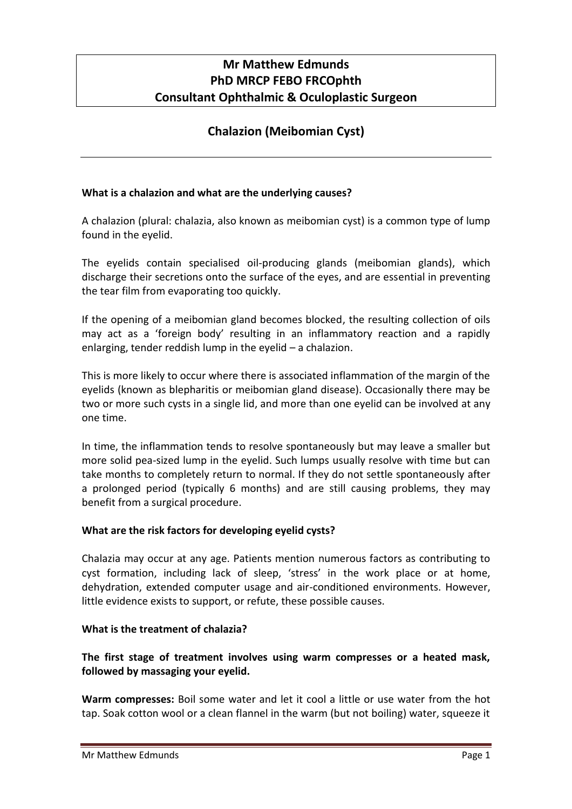# **Mr Matthew Edmunds PhD MRCP FEBO FRCOphth Consultant Ophthalmic & Oculoplastic Surgeon**

# **Chalazion (Meibomian Cyst)**

## **What is a chalazion and what are the underlying causes?**

A chalazion (plural: chalazia, also known as meibomian cyst) is a common type of lump found in the eyelid.

The eyelids contain specialised oil-producing glands (meibomian glands), which discharge their secretions onto the surface of the eyes, and are essential in preventing the tear film from evaporating too quickly.

If the opening of a meibomian gland becomes blocked, the resulting collection of oils may act as a 'foreign body' resulting in an inflammatory reaction and a rapidly enlarging, tender reddish lump in the eyelid – a chalazion.

This is more likely to occur where there is associated inflammation of the margin of the eyelids (known as blepharitis or meibomian gland disease). Occasionally there may be two or more such cysts in a single lid, and more than one eyelid can be involved at any one time.

In time, the inflammation tends to resolve spontaneously but may leave a smaller but more solid pea-sized lump in the eyelid. Such lumps usually resolve with time but can take months to completely return to normal. If they do not settle spontaneously after a prolonged period (typically 6 months) and are still causing problems, they may benefit from a surgical procedure.

### **What are the risk factors for developing eyelid cysts?**

Chalazia may occur at any age. Patients mention numerous factors as contributing to cyst formation, including lack of sleep, 'stress' in the work place or at home, dehydration, extended computer usage and air-conditioned environments. However, little evidence exists to support, or refute, these possible causes.

#### **What is the treatment of chalazia?**

**The first stage of treatment involves using warm compresses or a heated mask, followed by massaging your eyelid.**

**Warm compresses:** Boil some water and let it cool a little or use water from the hot tap. Soak cotton wool or a clean flannel in the warm (but not boiling) water, squeeze it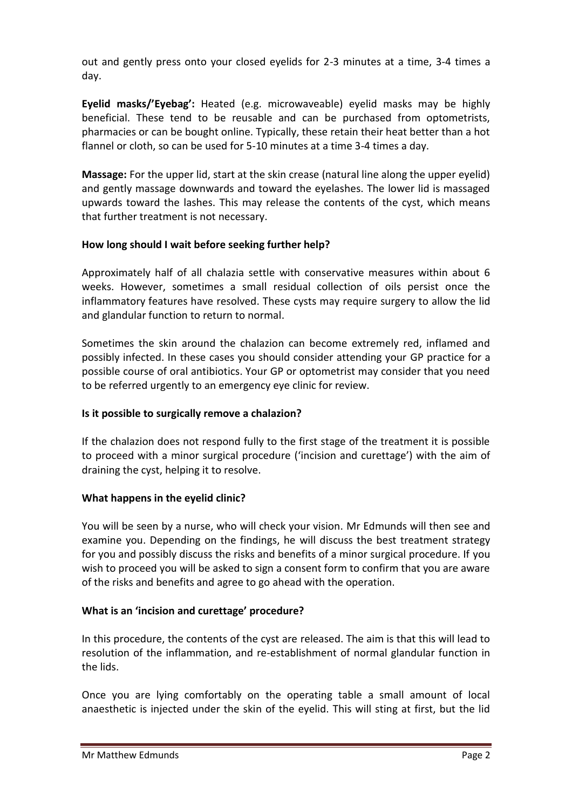out and gently press onto your closed eyelids for 2-3 minutes at a time, 3-4 times a day.

**Eyelid masks/'Eyebag':** Heated (e.g. microwaveable) eyelid masks may be highly beneficial. These tend to be reusable and can be purchased from optometrists, pharmacies or can be bought online. Typically, these retain their heat better than a hot flannel or cloth, so can be used for 5-10 minutes at a time 3-4 times a day.

**Massage:** For the upper lid, start at the skin crease (natural line along the upper eyelid) and gently massage downwards and toward the eyelashes. The lower lid is massaged upwards toward the lashes. This may release the contents of the cyst, which means that further treatment is not necessary.

### **How long should I wait before seeking further help?**

Approximately half of all chalazia settle with conservative measures within about 6 weeks. However, sometimes a small residual collection of oils persist once the inflammatory features have resolved. These cysts may require surgery to allow the lid and glandular function to return to normal.

Sometimes the skin around the chalazion can become extremely red, inflamed and possibly infected. In these cases you should consider attending your GP practice for a possible course of oral antibiotics. Your GP or optometrist may consider that you need to be referred urgently to an emergency eye clinic for review.

### **Is it possible to surgically remove a chalazion?**

If the chalazion does not respond fully to the first stage of the treatment it is possible to proceed with a minor surgical procedure ('incision and curettage') with the aim of draining the cyst, helping it to resolve.

### **What happens in the eyelid clinic?**

You will be seen by a nurse, who will check your vision. Mr Edmunds will then see and examine you. Depending on the findings, he will discuss the best treatment strategy for you and possibly discuss the risks and benefits of a minor surgical procedure. If you wish to proceed you will be asked to sign a consent form to confirm that you are aware of the risks and benefits and agree to go ahead with the operation.

### **What is an 'incision and curettage' procedure?**

In this procedure, the contents of the cyst are released. The aim is that this will lead to resolution of the inflammation, and re-establishment of normal glandular function in the lids.

Once you are lying comfortably on the operating table a small amount of local anaesthetic is injected under the skin of the eyelid. This will sting at first, but the lid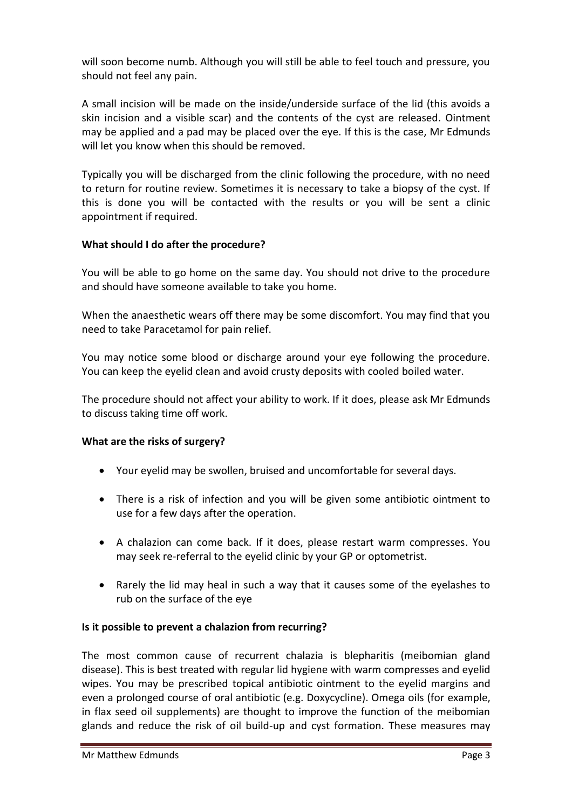will soon become numb. Although you will still be able to feel touch and pressure, you should not feel any pain.

A small incision will be made on the inside/underside surface of the lid (this avoids a skin incision and a visible scar) and the contents of the cyst are released. Ointment may be applied and a pad may be placed over the eye. If this is the case, Mr Edmunds will let you know when this should be removed.

Typically you will be discharged from the clinic following the procedure, with no need to return for routine review. Sometimes it is necessary to take a biopsy of the cyst. If this is done you will be contacted with the results or you will be sent a clinic appointment if required.

### **What should I do after the procedure?**

You will be able to go home on the same day. You should not drive to the procedure and should have someone available to take you home.

When the anaesthetic wears off there may be some discomfort. You may find that you need to take Paracetamol for pain relief.

You may notice some blood or discharge around your eye following the procedure. You can keep the eyelid clean and avoid crusty deposits with cooled boiled water.

The procedure should not affect your ability to work. If it does, please ask Mr Edmunds to discuss taking time off work.

### **What are the risks of surgery?**

- Your eyelid may be swollen, bruised and uncomfortable for several days.
- There is a risk of infection and you will be given some antibiotic ointment to use for a few days after the operation.
- A chalazion can come back. If it does, please restart warm compresses. You may seek re-referral to the eyelid clinic by your GP or optometrist.
- Rarely the lid may heal in such a way that it causes some of the eyelashes to rub on the surface of the eye

#### **Is it possible to prevent a chalazion from recurring?**

The most common cause of recurrent chalazia is blepharitis (meibomian gland disease). This is best treated with regular lid hygiene with warm compresses and eyelid wipes. You may be prescribed topical antibiotic ointment to the eyelid margins and even a prolonged course of oral antibiotic (e.g. Doxycycline). Omega oils (for example, in flax seed oil supplements) are thought to improve the function of the meibomian glands and reduce the risk of oil build-up and cyst formation. These measures may